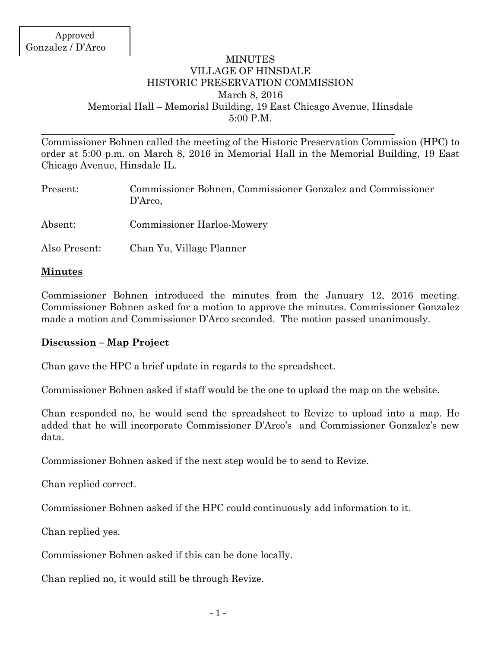## MINUTES VILLAGE OF HINSDALE HISTORIC PRESERVATION COMMISSION March 8, 2016 Memorial Hall – Memorial Building, 19 East Chicago Avenue, Hinsdale 5:00 P.M.

Commissioner Bohnen called the meeting of the Historic Preservation Commission (HPC) to order at 5:00 p.m. on March 8, 2016 in Memorial Hall in the Memorial Building, 19 East Chicago Avenue, Hinsdale IL.

| Present:      | Commissioner Bohnen, Commissioner Gonzalez and Commissioner<br>D'Arco, |
|---------------|------------------------------------------------------------------------|
| Absent:       | <b>Commissioner Harloe-Mowery</b>                                      |
| Also Present: | Chan Yu, Village Planner                                               |

## **Minutes**

Commissioner Bohnen introduced the minutes from the January 12, 2016 meeting. Commissioner Bohnen asked for a motion to approve the minutes. Commissioner Gonzalez made a motion and Commissioner D'Arco seconded. The motion passed unanimously.

#### **Discussion – Map Project**

Chan gave the HPC a brief update in regards to the spreadsheet.

Commissioner Bohnen asked if staff would be the one to upload the map on the website.

Chan responded no, he would send the spreadsheet to Revize to upload into a map. He added that he will incorporate Commissioner D'Arco's and Commissioner Gonzalez's new data.

Commissioner Bohnen asked if the next step would be to send to Revize.

Chan replied correct.

Commissioner Bohnen asked if the HPC could continuously add information to it.

Chan replied yes.

Commissioner Bohnen asked if this can be done locally.

Chan replied no, it would still be through Revize.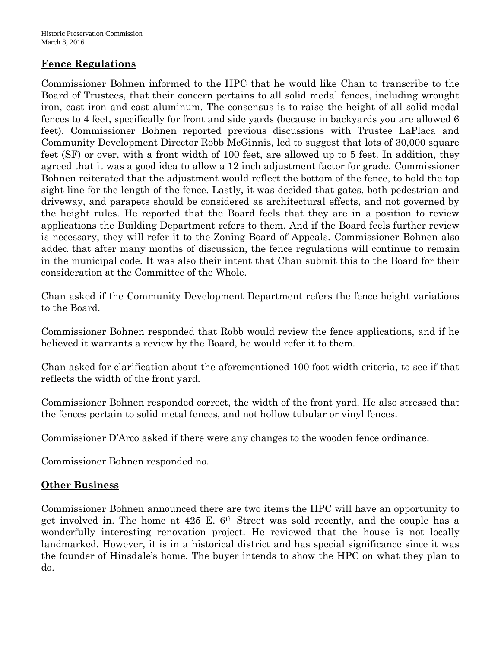# **Fence Regulations**

Commissioner Bohnen informed to the HPC that he would like Chan to transcribe to the Board of Trustees, that their concern pertains to all solid medal fences, including wrought iron, cast iron and cast aluminum. The consensus is to raise the height of all solid medal fences to 4 feet, specifically for front and side yards (because in backyards you are allowed 6 feet). Commissioner Bohnen reported previous discussions with Trustee LaPlaca and Community Development Director Robb McGinnis, led to suggest that lots of 30,000 square feet (SF) or over, with a front width of 100 feet, are allowed up to 5 feet. In addition, they agreed that it was a good idea to allow a 12 inch adjustment factor for grade. Commissioner Bohnen reiterated that the adjustment would reflect the bottom of the fence, to hold the top sight line for the length of the fence. Lastly, it was decided that gates, both pedestrian and driveway, and parapets should be considered as architectural effects, and not governed by the height rules. He reported that the Board feels that they are in a position to review applications the Building Department refers to them. And if the Board feels further review is necessary, they will refer it to the Zoning Board of Appeals. Commissioner Bohnen also added that after many months of discussion, the fence regulations will continue to remain in the municipal code. It was also their intent that Chan submit this to the Board for their consideration at the Committee of the Whole.

Chan asked if the Community Development Department refers the fence height variations to the Board.

Commissioner Bohnen responded that Robb would review the fence applications, and if he believed it warrants a review by the Board, he would refer it to them.

Chan asked for clarification about the aforementioned 100 foot width criteria, to see if that reflects the width of the front yard.

Commissioner Bohnen responded correct, the width of the front yard. He also stressed that the fences pertain to solid metal fences, and not hollow tubular or vinyl fences.

Commissioner D'Arco asked if there were any changes to the wooden fence ordinance.

Commissioner Bohnen responded no.

# **Other Business**

Commissioner Bohnen announced there are two items the HPC will have an opportunity to get involved in. The home at 425 E. 6th Street was sold recently, and the couple has a wonderfully interesting renovation project. He reviewed that the house is not locally landmarked. However, it is in a historical district and has special significance since it was the founder of Hinsdale's home. The buyer intends to show the HPC on what they plan to do.